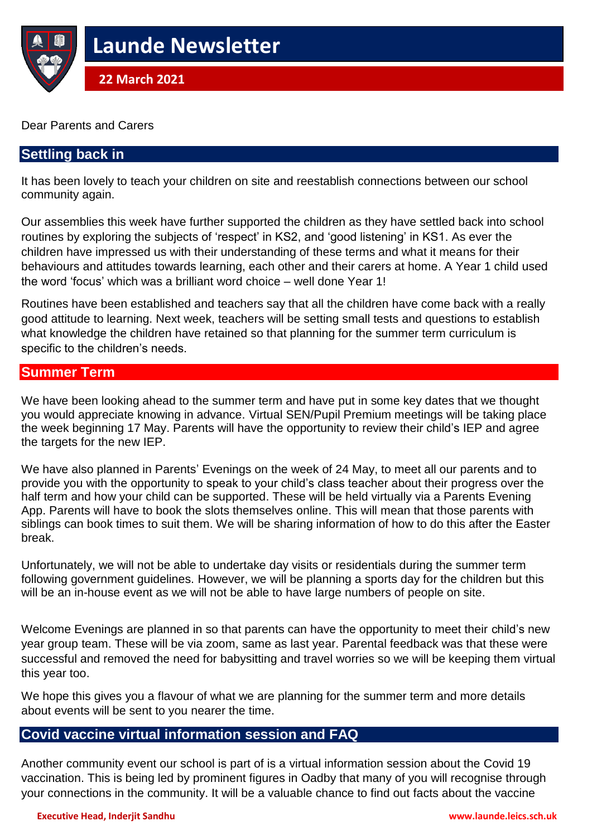

Dear Parents and Carers

### **Settling back in**

It has been lovely to teach your children on site and reestablish connections between our school community again.

Our assemblies this week have further supported the children as they have settled back into school routines by exploring the subjects of 'respect' in KS2, and 'good listening' in KS1. As ever the children have impressed us with their understanding of these terms and what it means for their behaviours and attitudes towards learning, each other and their carers at home. A Year 1 child used the word 'focus' which was a brilliant word choice – well done Year 1!

Routines have been established and teachers say that all the children have come back with a really good attitude to learning. Next week, teachers will be setting small tests and questions to establish what knowledge the children have retained so that planning for the summer term curriculum is specific to the children's needs.

### **Summer Term**

We have been looking ahead to the summer term and have put in some key dates that we thought you would appreciate knowing in advance. Virtual SEN/Pupil Premium meetings will be taking place the week beginning 17 May. Parents will have the opportunity to review their child's IEP and agree the targets for the new IEP.

We have also planned in Parents' Evenings on the week of 24 May, to meet all our parents and to provide you with the opportunity to speak to your child's class teacher about their progress over the half term and how your child can be supported. These will be held virtually via a Parents Evening App. Parents will have to book the slots themselves online. This will mean that those parents with siblings can book times to suit them. We will be sharing information of how to do this after the Easter break.

Unfortunately, we will not be able to undertake day visits or residentials during the summer term following government guidelines. However, we will be planning a sports day for the children but this will be an in-house event as we will not be able to have large numbers of people on site.

Welcome Evenings are planned in so that parents can have the opportunity to meet their child's new year group team. These will be via zoom, same as last year. Parental feedback was that these were successful and removed the need for babysitting and travel worries so we will be keeping them virtual this year too.

We hope this gives you a flavour of what we are planning for the summer term and more details about events will be sent to you nearer the time.

### **Covid vaccine virtual information session and FAQ**

Another community event our school is part of is a virtual information session about the Covid 19 vaccination. This is being led by prominent figures in Oadby that many of you will recognise through your connections in the community. It will be a valuable chance to find out facts about the vaccine

#### **Executive Head, Inderjit Sandhu www.launde.leics.sch.uk**